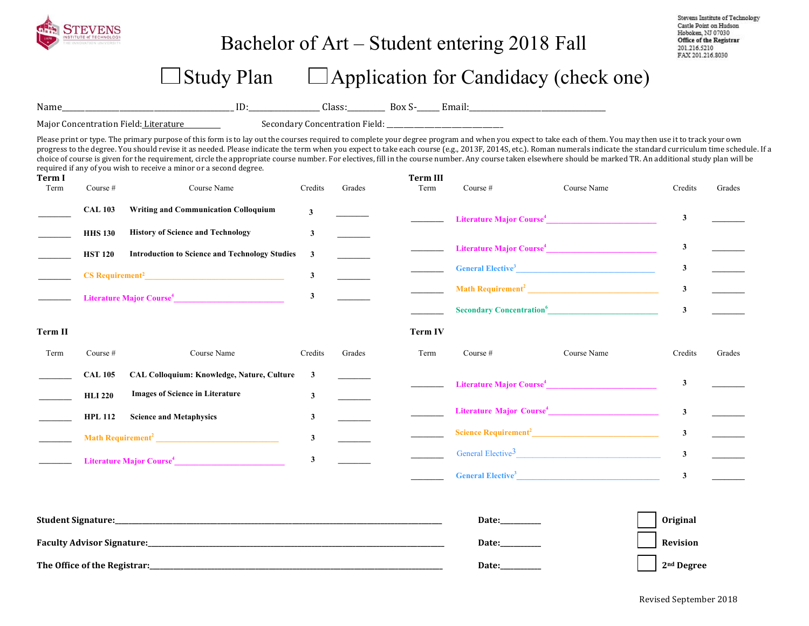| EV ENS<br>INSTITUTE of TECHNOLOGY |
|-----------------------------------|
| THE INNOVATION UNIVERSITY         |

## Bachelor of Art – Student entering 2018 Fall

Stevens Institute of Technology Castle Point on Hudson Hoboken, NJ 07030 Office of the Registrar 201.216.5210 FAX 201.216.8030

## $\Box$  Study Plan  $\Box$  Application for Candidacy (check one)

Name\_\_\_\_\_\_\_\_\_\_\_\_\_\_\_\_\_\_\_\_\_\_\_\_\_\_\_\_\_\_\_\_\_\_\_\_\_\_\_\_\_\_\_\_\_ ID:\_\_\_\_\_\_\_\_\_\_\_\_\_\_\_\_\_\_\_ Class:\_\_\_\_\_\_\_\_\_\_ Box S-\_\_\_\_\_\_ Email:\_\_\_\_\_\_\_\_\_\_\_\_\_\_\_\_\_\_\_\_\_\_\_\_\_\_\_\_\_\_\_\_\_\_\_\_ 

Major Concentration Field: Literature Secondary Concentration Field: \_\_\_\_\_\_\_\_\_\_\_

Please print or type. The primary purpose of this form is to lay out the courses required to complete your degree program and when you expect to take each of them. You may then use it to track your own progress to the degree. You should revise it as needed. Please indicate the term when you expect to take each course (e.g., 2013F, 2014S, etc.). Roman numerals indicate the standard curriculum time schedule. If a choice of course is given for the requirement, circle the appropriate course number. For electives, fill in the course number. Any course taken elsewhere should be marked TR. An additional study plan will be required if any of you wish to receive a minor or a second degree.

| Term I<br>Term | Course #       | Course Name                                                                                                                                                                                                                                    | Credits      | Grades | <b>Term III</b><br>Term | Course $#$ | Course Name                          | Credits        | Grades |
|----------------|----------------|------------------------------------------------------------------------------------------------------------------------------------------------------------------------------------------------------------------------------------------------|--------------|--------|-------------------------|------------|--------------------------------------|----------------|--------|
|                | <b>CAL 103</b> | <b>Writing and Communication Colloquium</b>                                                                                                                                                                                                    | $\mathbf{3}$ |        |                         |            | Literature Major Course <sup>4</sup> | 3              |        |
|                | <b>HHS 130</b> | <b>History of Science and Technology</b>                                                                                                                                                                                                       | 3            |        |                         |            |                                      |                |        |
|                | <b>HST 120</b> | <b>Introduction to Science and Technology Studies</b>                                                                                                                                                                                          | 3            |        |                         |            | Literature Major Course <sup>4</sup> | 3              |        |
|                |                |                                                                                                                                                                                                                                                | $\mathbf{3}$ |        |                         |            | <b>General Elective<sup>3</sup></b>  | 3              |        |
|                |                | Literature Major Course <sup>4</sup>                                                                                                                                                                                                           | $\mathbf{3}$ |        |                         |            |                                      | $\mathbf{3}$   |        |
|                |                |                                                                                                                                                                                                                                                |              |        |                         |            | Secondary Concentration <sup>6</sup> | $\mathbf{3}$   |        |
| Term II        |                |                                                                                                                                                                                                                                                |              |        | <b>Term IV</b>          |            |                                      |                |        |
| Term           | Course #       | Course Name                                                                                                                                                                                                                                    | Credits      | Grades | Term                    | Course $#$ | Course Name                          | Credits        | Grades |
|                | <b>CAL 105</b> | <b>CAL Colloquium: Knowledge, Nature, Culture</b>                                                                                                                                                                                              | 3            |        |                         |            |                                      | $\mathbf{3}$   |        |
|                | <b>HLI 220</b> | <b>Images of Science in Literature</b>                                                                                                                                                                                                         | 3            |        |                         |            |                                      |                |        |
|                | <b>HPL 112</b> | <b>Science and Metaphysics</b>                                                                                                                                                                                                                 | 3            |        |                         |            |                                      | $\overline{3}$ |        |
|                |                | Math Requirement <sup>2</sup> <u>and the contract of the contract of the contract of the contract of the contract of the contract of the contract of the contract of the contract of the contract of the contract of the contract of the c</u> | $\mathbf{3}$ |        |                         |            | Science Requirement <sup>2</sup>     | $\mathbf{3}$   |        |
|                |                | Literature Major Course <sup>4</sup>                                                                                                                                                                                                           | 3            |        |                         |            | General Elective <sup>3</sup>        | $\mathbf{3}$   |        |
|                |                |                                                                                                                                                                                                                                                |              |        |                         |            | General Elective <sup>3</sup>        | 3              |        |

| <b>Student Signature:</b>         | <b>Date:</b> | <b>Original</b>        |
|-----------------------------------|--------------|------------------------|
| <b>Faculty Advisor Signature:</b> | <b>Date:</b> | Revision               |
| The Office of the Registrar:      | <b>Date:</b> | 2 <sup>nd</sup> Degree |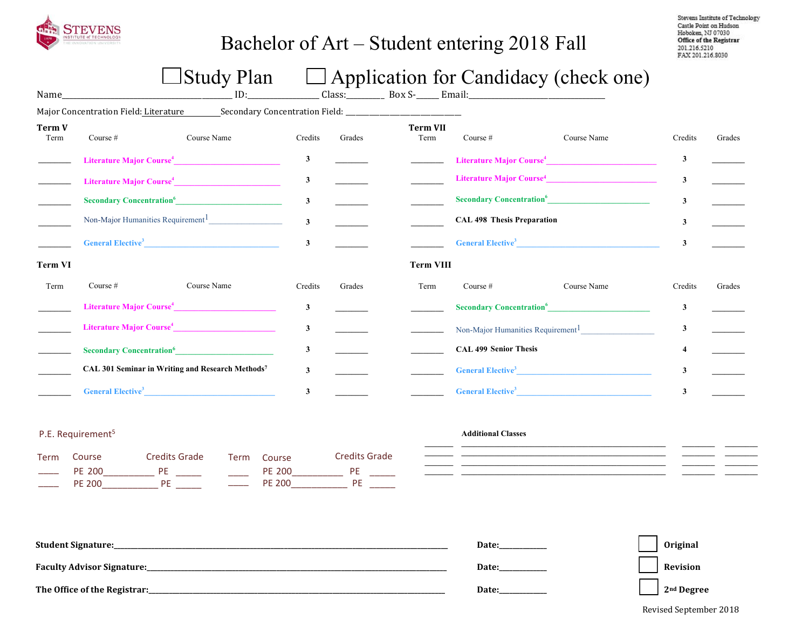

## Bachelor of Art – Student entering 2018 Fall

Stevens Institute of Technology Castle Point on Hudson Hoboken, NJ 07030 Office of the Registrar<br>201.216.5210 FAX 201.216.8030

# $\Box$  Study Plan  $\Box$  Application for Candidacy (check one)

| Name_                 |                                             | ID:                                                                                                                                                                                                                                         |              |        | Class: __________ Box S-______ Email:__ |                                               |                                      |              |        |
|-----------------------|---------------------------------------------|---------------------------------------------------------------------------------------------------------------------------------------------------------------------------------------------------------------------------------------------|--------------|--------|-----------------------------------------|-----------------------------------------------|--------------------------------------|--------------|--------|
|                       | Major Concentration Field: Literature       |                                                                                                                                                                                                                                             |              |        |                                         |                                               |                                      |              |        |
| <b>Term V</b><br>Term | Course $#$                                  | Course Name                                                                                                                                                                                                                                 | Credits      | Grades | <b>Term VII</b><br>Term                 | Course #                                      | Course Name                          | Credits      | Grades |
|                       |                                             | Literature Major Course <sup>4</sup>                                                                                                                                                                                                        | 3            |        |                                         |                                               | Literature Major Course <sup>4</sup> | 3            |        |
|                       |                                             | Literature Major Course <sup>4</sup>                                                                                                                                                                                                        | 3            |        |                                         |                                               | Literature Major Course <sup>4</sup> | 3            |        |
|                       |                                             | Secondary Concentration <sup>6</sup>                                                                                                                                                                                                        | $\mathbf{3}$ |        |                                         |                                               | Secondary Concentration <sup>6</sup> | $\mathbf{3}$ |        |
|                       |                                             | Non-Major Humanities Requirement <sup>1</sup>                                                                                                                                                                                               | $\mathbf{3}$ |        |                                         | <b>CAL 498 Thesis Preparation</b>             |                                      | 3            |        |
|                       |                                             | <b>General Elective<sup>3</sup> Contract Contract Contract Contract Contract Contract Contract Contract Contract Contract Contract Contract Contract Contract Contract Contract Contract Contract Contract Contract Contract Contract C</b> | $\mathbf{3}$ |        |                                         |                                               | General Elective <sup>3</sup>        | 3            |        |
| <b>Term VI</b>        |                                             |                                                                                                                                                                                                                                             |              |        | <b>Term VIII</b>                        |                                               |                                      |              |        |
| Term                  | Course $#$                                  | Course Name                                                                                                                                                                                                                                 | Credits      | Grades | Term                                    | Course $#$                                    | Course Name                          | Credits      | Grades |
|                       |                                             | Literature Major Course <sup>4</sup>                                                                                                                                                                                                        | $\mathbf{3}$ |        |                                         | <b>Secondary Concentration</b> <sup>6</sup>   |                                      | 3            |        |
|                       |                                             |                                                                                                                                                                                                                                             | $\mathbf{3}$ |        |                                         | Non-Major Humanities Requirement <sup>1</sup> |                                      | 3            |        |
|                       | <b>Secondary Concentration</b> <sup>6</sup> |                                                                                                                                                                                                                                             | $\mathbf{3}$ |        |                                         | <b>CAL 499 Senior Thesis</b>                  |                                      |              |        |
|                       |                                             | CAL 301 Seminar in Writing and Research Methods7                                                                                                                                                                                            | 3            |        |                                         |                                               | General Elective <sup>3</sup>        | 3            |        |
|                       | <b>General Elective</b> <sup>3</sup>        |                                                                                                                                                                                                                                             |              |        |                                         | General Elective <sup>3</sup>                 |                                      |              |        |

#### P.E. Requirement<sup>5</sup>

| Term Course   | Credits Grade | Term Course   | <b>Credits Grade</b> |
|---------------|---------------|---------------|----------------------|
| PF 200        |               | PF 200        | ΡF                   |
| <b>PF 200</b> | ₽F            | <b>PF 200</b> |                      |

#### **Additional Classes**

| <b>Student Signature:</b>         | Date         | <b>Original</b>        |
|-----------------------------------|--------------|------------------------|
| <b>Faculty Advisor Signature:</b> | Date:        | Revision               |
| The Office of the Registrar:      | <b>Date:</b> | 2 <sup>nd</sup> Degree |

Revised September 2018